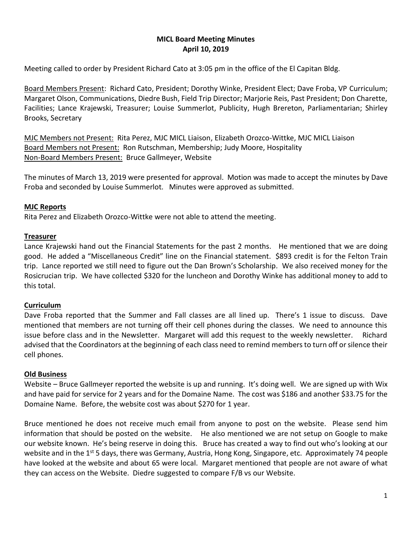## **MICL Board Meeting Minutes April 10, 2019**

Meeting called to order by President Richard Cato at 3:05 pm in the office of the El Capitan Bldg.

Board Members Present: Richard Cato, President; Dorothy Winke, President Elect; Dave Froba, VP Curriculum; Margaret Olson, Communications, Diedre Bush, Field Trip Director; Marjorie Reis, Past President; Don Charette, Facilities; Lance Krajewski, Treasurer; Louise Summerlot, Publicity, Hugh Brereton, Parliamentarian; Shirley Brooks, Secretary

MJC Members not Present: Rita Perez, MJC MICL Liaison, Elizabeth Orozco-Wittke, MJC MICL Liaison Board Members not Present: Ron Rutschman, Membership; Judy Moore, Hospitality Non-Board Members Present: Bruce Gallmeyer, Website

The minutes of March 13, 2019 were presented for approval. Motion was made to accept the minutes by Dave Froba and seconded by Louise Summerlot. Minutes were approved as submitted.

### **MJC Reports**

Rita Perez and Elizabeth Orozco-Wittke were not able to attend the meeting.

#### **Treasurer**

Lance Krajewski hand out the Financial Statements for the past 2 months. He mentioned that we are doing good. He added a "Miscellaneous Credit" line on the Financial statement. \$893 credit is for the Felton Train trip. Lance reported we still need to figure out the Dan Brown's Scholarship. We also received money for the Rosicrucian trip. We have collected \$320 for the luncheon and Dorothy Winke has additional money to add to this total.

### **Curriculum**

Dave Froba reported that the Summer and Fall classes are all lined up. There's 1 issue to discuss. Dave mentioned that members are not turning off their cell phones during the classes. We need to announce this issue before class and in the Newsletter. Margaret will add this request to the weekly newsletter. Richard advised that the Coordinators at the beginning of each class need to remind members to turn off or silence their cell phones.

### **Old Business**

Website – Bruce Gallmeyer reported the website is up and running. It's doing well. We are signed up with Wix and have paid for service for 2 years and for the Domaine Name. The cost was \$186 and another \$33.75 for the Domaine Name. Before, the website cost was about \$270 for 1 year.

Bruce mentioned he does not receive much email from anyone to post on the website. Please send him information that should be posted on the website. He also mentioned we are not setup on Google to make our website known. He's being reserve in doing this. Bruce has created a way to find out who's looking at our website and in the 1<sup>st</sup> 5 days, there was Germany, Austria, Hong Kong, Singapore, etc. Approximately 74 people have looked at the website and about 65 were local. Margaret mentioned that people are not aware of what they can access on the Website. Diedre suggested to compare F/B vs our Website.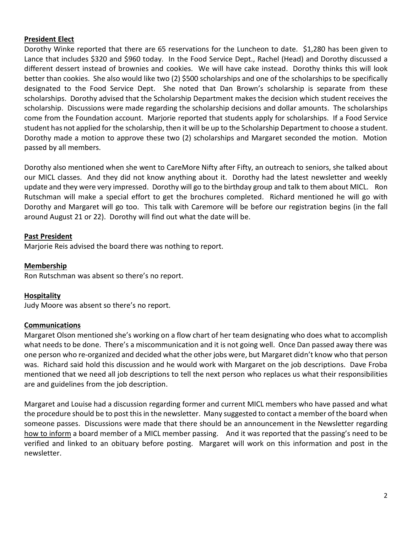### **President Elect**

Dorothy Winke reported that there are 65 reservations for the Luncheon to date. \$1,280 has been given to Lance that includes \$320 and \$960 today. In the Food Service Dept., Rachel (Head) and Dorothy discussed a different dessert instead of brownies and cookies. We will have cake instead. Dorothy thinks this will look better than cookies. She also would like two (2) \$500 scholarships and one of the scholarships to be specifically designated to the Food Service Dept. She noted that Dan Brown's scholarship is separate from these scholarships. Dorothy advised that the Scholarship Department makes the decision which student receives the scholarship. Discussions were made regarding the scholarship decisions and dollar amounts. The scholarships come from the Foundation account. Marjorie reported that students apply for scholarships. If a Food Service student has not applied for the scholarship, then it will be up to the Scholarship Department to choose a student. Dorothy made a motion to approve these two (2) scholarships and Margaret seconded the motion. Motion passed by all members.

Dorothy also mentioned when she went to CareMore Nifty after Fifty, an outreach to seniors, she talked about our MICL classes. And they did not know anything about it. Dorothy had the latest newsletter and weekly update and they were very impressed. Dorothy will go to the birthday group and talk to them about MICL. Ron Rutschman will make a special effort to get the brochures completed. Richard mentioned he will go with Dorothy and Margaret will go too. This talk with Caremore will be before our registration begins (in the fall around August 21 or 22). Dorothy will find out what the date will be.

# **Past President**

Marjorie Reis advised the board there was nothing to report.

## **Membership**

Ron Rutschman was absent so there's no report.

### **Hospitality**

Judy Moore was absent so there's no report.

### **Communications**

Margaret Olson mentioned she's working on a flow chart of her team designating who does what to accomplish what needs to be done. There's a miscommunication and it is not going well. Once Dan passed away there was one person who re-organized and decided what the other jobs were, but Margaret didn't know who that person was. Richard said hold this discussion and he would work with Margaret on the job descriptions. Dave Froba mentioned that we need all job descriptions to tell the next person who replaces us what their responsibilities are and guidelines from the job description.

Margaret and Louise had a discussion regarding former and current MICL members who have passed and what the procedure should be to post this in the newsletter. Many suggested to contact a member of the board when someone passes. Discussions were made that there should be an announcement in the Newsletter regarding how to inform a board member of a MICL member passing. And it was reported that the passing's need to be verified and linked to an obituary before posting. Margaret will work on this information and post in the newsletter.